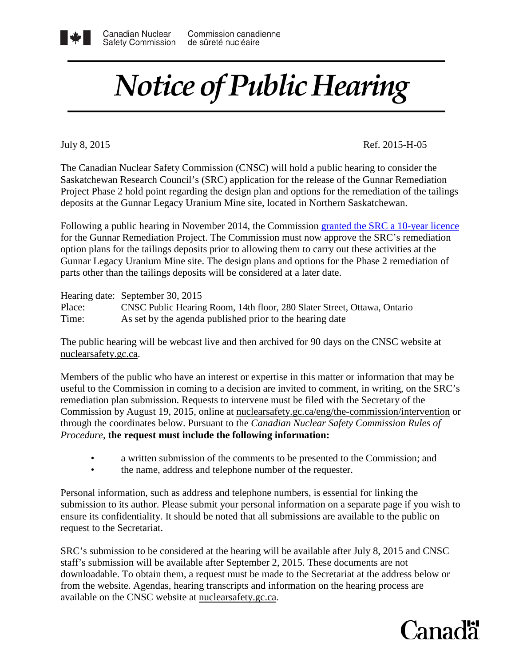## *Notice of Public Hearing*

July 8, 2015

Ref. 2015-H-05

 The Canadian Nuclear Safety Commission (CNSC) will hold a public hearing to consider the Saskatchewan Research Council's (SRC) application for the release of the Gunnar Remediation Project Phase 2 hold point regarding the design plan and options for the remediation of the tailings deposits at the Gunnar Legacy Uranium Mine site, located in Northern Saskatchewan.

 for the Gunnar Remediation Project. The Commission must now approve the SRC's remediation option plans for the tailings deposits prior to allowing them to carry out these activities at the Gunnar Legacy Uranium Mine site. The design plans and options for the Phase 2 remediation of Following a public hearing in November 2014, the Commission granted the SRC a 10-year licence parts other than the tailings deposits will be considered at a later date.

Hearing date: September 30, 2015

Canadian Nuclear

Time: Place: CNSC Public Hearing Room, 14th floor, 280 Slater Street, Ottawa, Ontario As set by the agenda published prior to the hearing date

 The public hearing will be webcast live and then archived for 90 days on the CNSC website at nuclearsafety.gc.ca.

 through the coordinates below. Pursuant to the *Canadian Nuclear Safety Commission Rules of*   *Procedure*, **the request must include the following information:**  Members of the public who have an interest or expertise in this matter or information that may be useful to the Commission in coming to a decision are invited to comment, in writing, on the SRC's remediation plan submission. Requests to intervene must be filed with the Secretary of the Commission by August 19, 2015, online at [nuclearsafety.gc.ca/eng/the-commission/intervention](http://www.nuclearsafety.gc.ca/eng/the-commission/intervention/index.cfm) or

- a written submission of the comments to be presented to the Commission; and
- the name, address and telephone number of the requester.

Personal information, such as address and telephone numbers, is essential for linking the submission to its author. Please submit your personal information on a separate page if you wish to ensure its confidentiality. It should be noted that all submissions are available to the public on request to the Secretariat.

 SRC's submission to be considered at the hearing will be available after July 8, 2015 and CNSC staff's submission will be available after September 2, 2015. These documents are not downloadable. To obtain them, a request must be made to the Secretariat at the address below or from the website. Agendas, hearing transcripts and information on the hearing process are available on the CNSC website at [nuclearsafety.gc.ca.](http://www.nuclearsafety.gc.ca/)